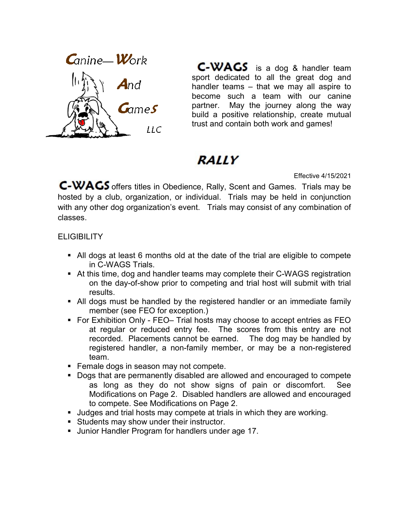

**C-WAGS** is a dog & handler team sport dedicated to all the great dog and handler teams – that we may all aspire to become such a team with our canine partner. May the journey along the way build a positive relationship, create mutual trust and contain both work and games!

# *RALLY*

Effective 4/15/2021

C-WAGS offers titles in Obedience, Rally, Scent and Games. Trials may be hosted by a club, organization, or individual. Trials may be held in conjunction with any other dog organization's event. Trials may consist of any combination of classes.

### **ELIGIBILITY**

- All dogs at least 6 months old at the date of the trial are eligible to compete in C-WAGS Trials.
- At this time, dog and handler teams may complete their C-WAGS registration on the day-of-show prior to competing and trial host will submit with trial results.
- All dogs must be handled by the registered handler or an immediate family member (see FEO for exception.)
- For Exhibition Only FEO– Trial hosts may choose to accept entries as FEO at regular or reduced entry fee. The scores from this entry are not recorded. Placements cannot be earned. The dog may be handled by registered handler, a non-family member, or may be a non-registered team.
- **Female dogs in season may not compete.**
- Dogs that are permanently disabled are allowed and encouraged to compete as long as they do not show signs of pain or discomfort. See Modifications on Page 2. Disabled handlers are allowed and encouraged to compete. See Modifications on Page 2.
- **Judges and trial hosts may compete at trials in which they are working.**
- Students may show under their instructor.
- **Junior Handler Program for handlers under age 17.**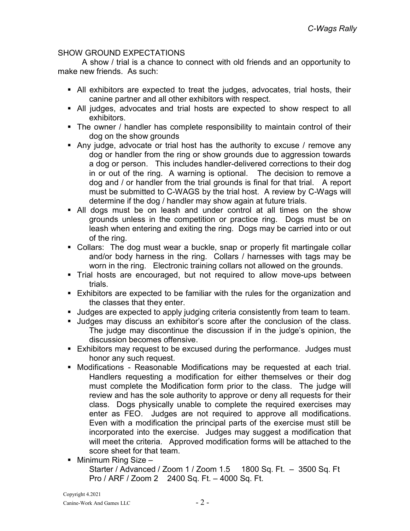## SHOW GROUND EXPECTATIONS

 A show / trial is a chance to connect with old friends and an opportunity to make new friends. As such:

- All exhibitors are expected to treat the judges, advocates, trial hosts, their canine partner and all other exhibitors with respect.
- All judges, advocates and trial hosts are expected to show respect to all exhibitors.
- The owner / handler has complete responsibility to maintain control of their dog on the show grounds
- Any judge, advocate or trial host has the authority to excuse / remove any dog or handler from the ring or show grounds due to aggression towards a dog or person. This includes handler-delivered corrections to their dog in or out of the ring. A warning is optional. The decision to remove a dog and / or handler from the trial grounds is final for that trial. A report must be submitted to C-WAGS by the trial host. A review by C-Wags will determine if the dog / handler may show again at future trials.
- All dogs must be on leash and under control at all times on the show grounds unless in the competition or practice ring. Dogs must be on leash when entering and exiting the ring. Dogs may be carried into or out of the ring.
- Collars: The dog must wear a buckle, snap or properly fit martingale collar and/or body harness in the ring. Collars / harnesses with tags may be worn in the ring. Electronic training collars not allowed on the grounds.
- Trial hosts are encouraged, but not required to allow move-ups between trials.
- Exhibitors are expected to be familiar with the rules for the organization and the classes that they enter.
- Judges are expected to apply judging criteria consistently from team to team.
- Judges may discuss an exhibitor's score after the conclusion of the class. The judge may discontinue the discussion if in the judge's opinion, the discussion becomes offensive.
- **Exhibitors may request to be excused during the performance. Judges must** honor any such request.
- Modifications Reasonable Modifications may be requested at each trial. Handlers requesting a modification for either themselves or their dog must complete the Modification form prior to the class. The judge will review and has the sole authority to approve or deny all requests for their class. Dogs physically unable to complete the required exercises may enter as FEO. Judges are not required to approve all modifications. Even with a modification the principal parts of the exercise must still be incorporated into the exercise. Judges may suggest a modification that will meet the criteria. Approved modification forms will be attached to the score sheet for that team.
- Minimum Ring Size –

Starter / Advanced / Zoom 1 / Zoom 1.5 1800 Sq. Ft. – 3500 Sq. Ft Pro / ARF / Zoom 2 2400 Sq. Ft. – 4000 Sq. Ft.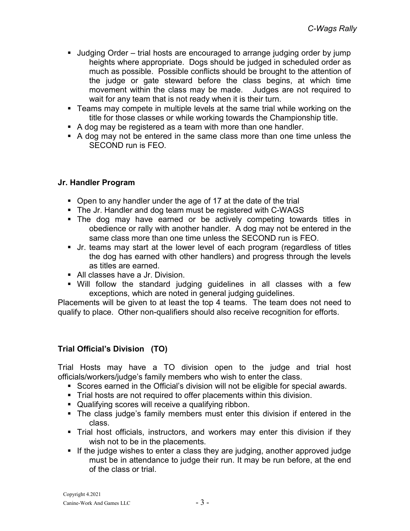- Judging Order trial hosts are encouraged to arrange judging order by jump heights where appropriate. Dogs should be judged in scheduled order as much as possible. Possible conflicts should be brought to the attention of the judge or gate steward before the class begins, at which time movement within the class may be made. Judges are not required to wait for any team that is not ready when it is their turn.
- **Teams may compete in multiple levels at the same trial while working on the** title for those classes or while working towards the Championship title.
- A dog may be registered as a team with more than one handler.
- A dog may not be entered in the same class more than one time unless the SECOND run is FEO.

## Jr. Handler Program

- Open to any handler under the age of 17 at the date of the trial
- The Jr. Handler and dog team must be registered with C-WAGS
- The dog may have earned or be actively competing towards titles in obedience or rally with another handler. A dog may not be entered in the same class more than one time unless the SECOND run is FEO.
- Jr. teams may start at the lower level of each program (regardless of titles the dog has earned with other handlers) and progress through the levels as titles are earned.
- All classes have a Jr. Division.
- Will follow the standard judging guidelines in all classes with a few exceptions, which are noted in general judging guidelines.

Placements will be given to at least the top 4 teams. The team does not need to qualify to place. Other non-qualifiers should also receive recognition for efforts.

### Trial Official's Division (TO)

Trial Hosts may have a TO division open to the judge and trial host officials/workers/judge's family members who wish to enter the class.

- Scores earned in the Official's division will not be eligible for special awards.
- Trial hosts are not required to offer placements within this division.
- Qualifying scores will receive a qualifying ribbon.
- The class judge's family members must enter this division if entered in the class.
- Trial host officials, instructors, and workers may enter this division if they wish not to be in the placements.
- If the judge wishes to enter a class they are judging, another approved judge must be in attendance to judge their run. It may be run before, at the end of the class or trial.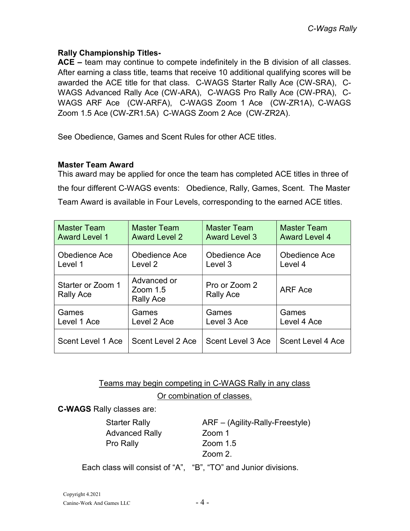## Rally Championship Titles-

ACE – team may continue to compete indefinitely in the B division of all classes. After earning a class title, teams that receive 10 additional qualifying scores will be awarded the ACE title for that class. C-WAGS Starter Rally Ace (CW-SRA), C-WAGS Advanced Rally Ace (CW-ARA), C-WAGS Pro Rally Ace (CW-PRA), C-WAGS ARF Ace (CW-ARFA), C-WAGS Zoom 1 Ace (CW-ZR1A), C-WAGS Zoom 1.5 Ace (CW-ZR1.5A) C-WAGS Zoom 2 Ace (CW-ZR2A).

See Obedience, Games and Scent Rules for other ACE titles.

## Master Team Award

This award may be applied for once the team has completed ACE titles in three of the four different C-WAGS events: Obedience, Rally, Games, Scent. The Master Team Award is available in Four Levels, corresponding to the earned ACE titles.

| <b>Master Team</b>             | <b>Master Team</b>                     | <b>Master Team</b>                | <b>Master Team</b>       |
|--------------------------------|----------------------------------------|-----------------------------------|--------------------------|
| <b>Award Level 1</b>           | <b>Award Level 2</b>                   | <b>Award Level 3</b>              | <b>Award Level 4</b>     |
| Obedience Ace                  | <b>Obedience Ace</b>                   | <b>Obedience Ace</b>              | Obedience Ace            |
| Level 1                        | Level 2                                | Level 3                           | Level 4                  |
| Starter or Zoom 1<br>Rally Ace | Advanced or<br>$Zoom$ 1.5<br>Rally Ace | Pro or Zoom 2<br><b>Rally Ace</b> | ARF Ace                  |
| Games                          | Games                                  | Games                             | Games                    |
| Level 1 Ace                    | Level 2 Ace                            | Level 3 Ace                       | Level 4 Ace              |
| Scent Level 1 Ace              | Scent Level 2 Ace                      | Scent Level 3 Ace                 | <b>Scent Level 4 Ace</b> |

Teams may begin competing in C-WAGS Rally in any class

### Or combination of classes.

C-WAGS Rally classes are:

Advanced Rally **Zoom 1** Pro Rally **Zoom** 1.5

Starter Rally **ARF** – (Agility-Rally-Freestyle) Zoom 2.

Each class will consist of "A", "B", "TO" and Junior divisions.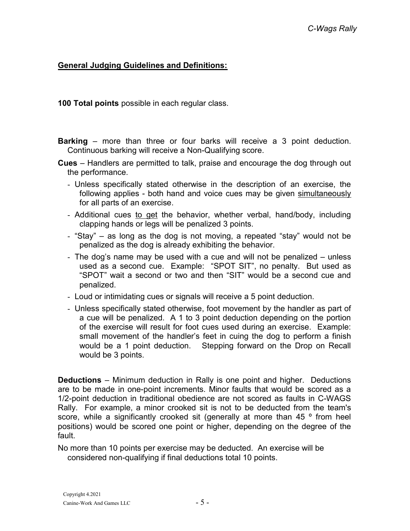## General Judging Guidelines and Definitions:

100 Total points possible in each regular class.

- Barking more than three or four barks will receive a 3 point deduction. Continuous barking will receive a Non-Qualifying score.
- Cues Handlers are permitted to talk, praise and encourage the dog through out the performance.
	- Unless specifically stated otherwise in the description of an exercise, the following applies - both hand and voice cues may be given simultaneously for all parts of an exercise.
	- Additional cues to get the behavior, whether verbal, hand/body, including clapping hands or legs will be penalized 3 points.
	- "Stay" as long as the dog is not moving, a repeated "stay" would not be penalized as the dog is already exhibiting the behavior.
	- The dog's name may be used with a cue and will not be penalized unless used as a second cue. Example: "SPOT SIT", no penalty. But used as "SPOT" wait a second or two and then "SIT" would be a second cue and penalized.
	- Loud or intimidating cues or signals will receive a 5 point deduction.
	- Unless specifically stated otherwise, foot movement by the handler as part of a cue will be penalized. A 1 to 3 point deduction depending on the portion of the exercise will result for foot cues used during an exercise. Example: small movement of the handler's feet in cuing the dog to perform a finish would be a 1 point deduction. Stepping forward on the Drop on Recall would be 3 points.

Deductions – Minimum deduction in Rally is one point and higher. Deductions are to be made in one-point increments. Minor faults that would be scored as a 1/2-point deduction in traditional obedience are not scored as faults in C-WAGS Rally. For example, a minor crooked sit is not to be deducted from the team's score, while a significantly crooked sit (generally at more than 45 ° from heel positions) would be scored one point or higher, depending on the degree of the fault.

No more than 10 points per exercise may be deducted. An exercise will be considered non-qualifying if final deductions total 10 points.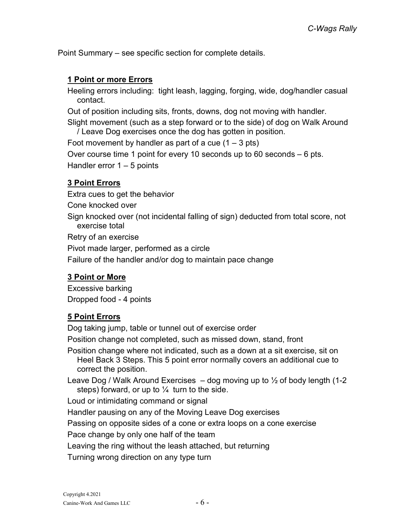Point Summary – see specific section for complete details.

## 1 Point or more Errors

Heeling errors including: tight leash, lagging, forging, wide, dog/handler casual contact.

Out of position including sits, fronts, downs, dog not moving with handler.

Slight movement (such as a step forward or to the side) of dog on Walk Around / Leave Dog exercises once the dog has gotten in position.

Foot movement by handler as part of a cue  $(1 - 3 \text{ pts})$ 

Over course time 1 point for every 10 seconds up to 60 seconds – 6 pts.

Handler error  $1 - 5$  points

## 3 Point Errors

Extra cues to get the behavior Cone knocked over Sign knocked over (not incidental falling of sign) deducted from total score, not exercise total Retry of an exercise Pivot made larger, performed as a circle Failure of the handler and/or dog to maintain pace change

## 3 Point or More

Excessive barking Dropped food - 4 points

## 5 Point Errors

Dog taking jump, table or tunnel out of exercise order

Position change not completed, such as missed down, stand, front

Position change where not indicated, such as a down at a sit exercise, sit on Heel Back 3 Steps. This 5 point error normally covers an additional cue to correct the position.

Leave Dog / Walk Around Exercises  $-$  dog moving up to  $\frac{1}{2}$  of body length (1-2) steps) forward, or up to  $\frac{1}{4}$  turn to the side.

Loud or intimidating command or signal

Handler pausing on any of the Moving Leave Dog exercises

Passing on opposite sides of a cone or extra loops on a cone exercise

Pace change by only one half of the team

Leaving the ring without the leash attached, but returning

Turning wrong direction on any type turn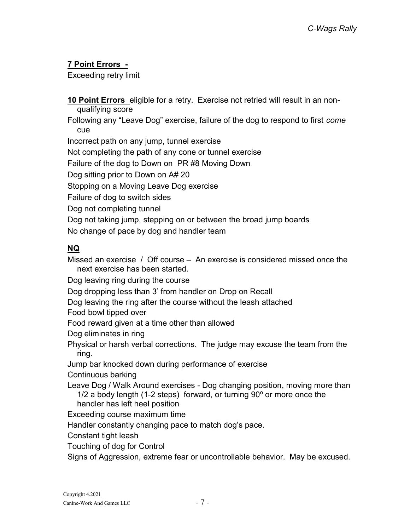## 7 Point Errors -

Exceeding retry limit

10 Point Errors eligible for a retry. Exercise not retried will result in an nonqualifying score

Following any "Leave Dog" exercise, failure of the dog to respond to first come cue

Incorrect path on any jump, tunnel exercise

Not completing the path of any cone or tunnel exercise

Failure of the dog to Down on PR #8 Moving Down

Dog sitting prior to Down on A# 20

Stopping on a Moving Leave Dog exercise

Failure of dog to switch sides

Dog not completing tunnel

Dog not taking jump, stepping on or between the broad jump boards

No change of pace by dog and handler team

## NQ

Missed an exercise / Off course – An exercise is considered missed once the next exercise has been started.

Dog leaving ring during the course

Dog dropping less than 3' from handler on Drop on Recall

Dog leaving the ring after the course without the leash attached

Food bowl tipped over

Food reward given at a time other than allowed

Dog eliminates in ring

Physical or harsh verbal corrections. The judge may excuse the team from the ring.

Jump bar knocked down during performance of exercise

Continuous barking

Leave Dog / Walk Around exercises - Dog changing position, moving more than 1/2 a body length (1-2 steps) forward, or turning 90º or more once the handler has left heel position

Exceeding course maximum time

Handler constantly changing pace to match dog's pace.

Constant tight leash

Touching of dog for Control

Signs of Aggression, extreme fear or uncontrollable behavior. May be excused.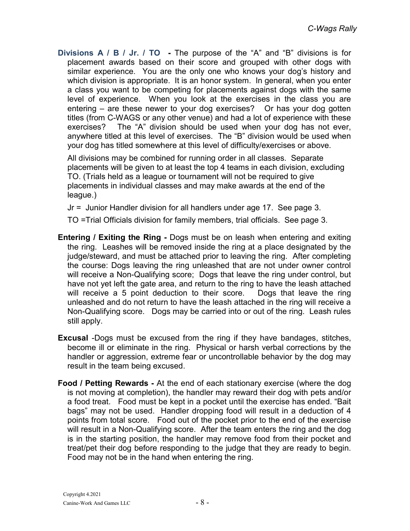Divisions A / B / Jr. / TO - The purpose of the "A" and "B" divisions is for placement awards based on their score and grouped with other dogs with similar experience. You are the only one who knows your dog's history and which division is appropriate. It is an honor system. In general, when you enter a class you want to be competing for placements against dogs with the same level of experience. When you look at the exercises in the class you are entering – are these newer to your dog exercises? Or has your dog gotten titles (from C-WAGS or any other venue) and had a lot of experience with these exercises? The "A" division should be used when your dog has not ever, anywhere titled at this level of exercises. The "B" division would be used when your dog has titled somewhere at this level of difficulty/exercises or above.

 All divisions may be combined for running order in all classes. Separate placements will be given to at least the top 4 teams in each division, excluding TO. (Trials held as a league or tournament will not be required to give placements in individual classes and may make awards at the end of the league.)

Jr = Junior Handler division for all handlers under age 17. See page 3.

TO =Trial Officials division for family members, trial officials. See page 3.

- Entering / Exiting the Ring Dogs must be on leash when entering and exiting the ring. Leashes will be removed inside the ring at a place designated by the judge/steward, and must be attached prior to leaving the ring. After completing the course: Dogs leaving the ring unleashed that are not under owner control will receive a Non-Qualifying score; Dogs that leave the ring under control, but have not yet left the gate area, and return to the ring to have the leash attached will receive a 5 point deduction to their score. Dogs that leave the ring unleashed and do not return to have the leash attached in the ring will receive a Non-Qualifying score. Dogs may be carried into or out of the ring. Leash rules still apply.
- Excusal -Dogs must be excused from the ring if they have bandages, stitches, become ill or eliminate in the ring. Physical or harsh verbal corrections by the handler or aggression, extreme fear or uncontrollable behavior by the dog may result in the team being excused.
- Food / Petting Rewards At the end of each stationary exercise (where the dog is not moving at completion), the handler may reward their dog with pets and/or a food treat. Food must be kept in a pocket until the exercise has ended. "Bait bags" may not be used. Handler dropping food will result in a deduction of 4 points from total score. Food out of the pocket prior to the end of the exercise will result in a Non-Qualifying score. After the team enters the ring and the dog is in the starting position, the handler may remove food from their pocket and treat/pet their dog before responding to the judge that they are ready to begin. Food may not be in the hand when entering the ring.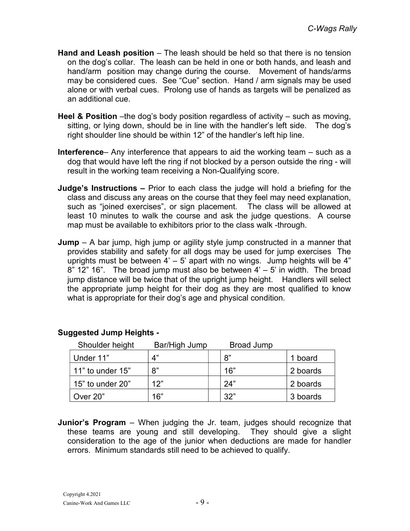- Hand and Leash position The leash should be held so that there is no tension on the dog's collar. The leash can be held in one or both hands, and leash and hand/arm position may change during the course. Movement of hands/arms may be considered cues. See "Cue" section. Hand / arm signals may be used alone or with verbal cues. Prolong use of hands as targets will be penalized as an additional cue.
- **Heel & Position** –the dog's body position regardless of activity such as moving, sitting, or lying down, should be in line with the handler's left side. The dog's right shoulder line should be within 12" of the handler's left hip line.
- Interference– Any interference that appears to aid the working team such as a dog that would have left the ring if not blocked by a person outside the ring - will result in the working team receiving a Non-Qualifying score.
- Judge's Instructions Prior to each class the judge will hold a briefing for the class and discuss any areas on the course that they feel may need explanation, such as "joined exercises", or sign placement. The class will be allowed at least 10 minutes to walk the course and ask the judge questions. A course map must be available to exhibitors prior to the class walk -through.
- **Jump** A bar jump, high jump or agility style jump constructed in a manner that provides stability and safety for all dogs may be used for jump exercises The uprights must be between  $4' - 5'$  apart with no wings. Jump heights will be  $4''$ 8"  $12$ "  $16$ ". The broad jump must also be between  $4' - 5'$  in width. The broad jump distance will be twice that of the upright jump height. Handlers will select the appropriate jump height for their dog as they are most qualified to know what is appropriate for their dog's age and physical condition.

| Shoulder height  | Bar/High Jump | <b>Broad Jump</b> |          |
|------------------|---------------|-------------------|----------|
| Under 11"        | 4"            | 8"                | 1 board  |
| 11" to under 15" | 8"            | 16"               | 2 boards |
| 15" to under 20" | 12"           | 24"               | 2 boards |
| Over 20"         | 16"           | 32"               | 3 boards |

## Suggested Jump Heights -

**Junior's Program** – When judging the Jr. team, judges should recognize that these teams are young and still developing. They should give a slight consideration to the age of the junior when deductions are made for handler errors. Minimum standards still need to be achieved to qualify.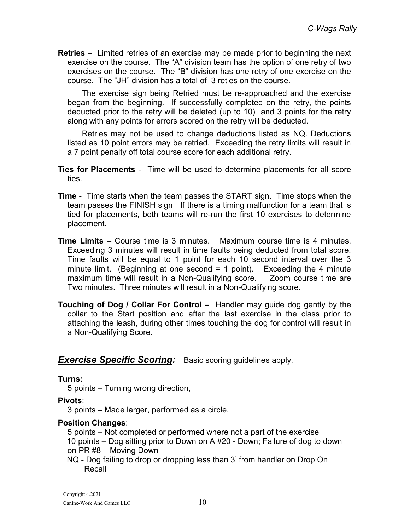Retries – Limited retries of an exercise may be made prior to beginning the next exercise on the course. The "A" division team has the option of one retry of two exercises on the course. The "B" division has one retry of one exercise on the course. The "JH" division has a total of 3 reties on the course.

 The exercise sign being Retried must be re-approached and the exercise began from the beginning. If successfully completed on the retry, the points deducted prior to the retry will be deleted (up to 10) and 3 points for the retry along with any points for errors scored on the retry will be deducted.

 Retries may not be used to change deductions listed as NQ. Deductions listed as 10 point errors may be retried. Exceeding the retry limits will result in a 7 point penalty off total course score for each additional retry.

- Ties for Placements Time will be used to determine placements for all score ties.
- Time Time starts when the team passes the START sign. Time stops when the team passes the FINISH sign If there is a timing malfunction for a team that is tied for placements, both teams will re-run the first 10 exercises to determine placement.
- Time Limits Course time is 3 minutes. Maximum course time is 4 minutes. Exceeding 3 minutes will result in time faults being deducted from total score. Time faults will be equal to 1 point for each 10 second interval over the 3 minute limit. (Beginning at one second = 1 point). Exceeding the 4 minute maximum time will result in a Non-Qualifying score. Zoom course time are Two minutes. Three minutes will result in a Non-Qualifying score.
- Touching of Dog / Collar For Control Handler may guide dog gently by the collar to the Start position and after the last exercise in the class prior to attaching the leash, during other times touching the dog for control will result in a Non-Qualifying Score.

## **Exercise Specific Scoring:** Basic scoring guidelines apply.

### Turns:

5 points – Turning wrong direction,

Pivots:

3 points – Made larger, performed as a circle.

## Position Changes:

 5 points – Not completed or performed where not a part of the exercise 10 points – Dog sitting prior to Down on A #20 - Down; Failure of dog to down on PR #8 – Moving Down

NQ - Dog failing to drop or dropping less than 3' from handler on Drop On Recall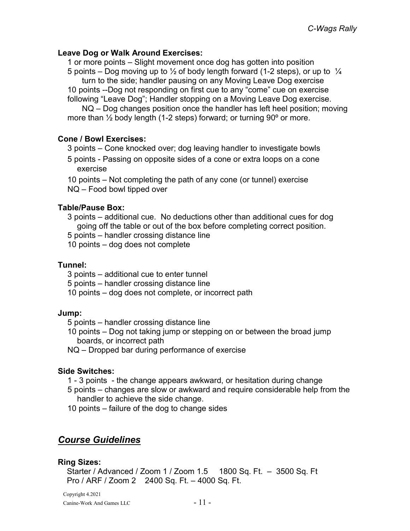## Leave Dog or Walk Around Exercises:

 1 or more points – Slight movement once dog has gotten into position 5 points – Dog moving up to  $\frac{1}{2}$  of body length forward (1-2 steps), or up to  $\frac{1}{4}$ turn to the side; handler pausing on any Moving Leave Dog exercise 10 points --Dog not responding on first cue to any "come" cue on exercise following "Leave Dog"; Handler stopping on a Moving Leave Dog exercise.

 NQ – Dog changes position once the handler has left heel position; moving more than ½ body length (1-2 steps) forward; or turning 90º or more.

## Cone / Bowl Exercises:

3 points – Cone knocked over; dog leaving handler to investigate bowls

5 points - Passing on opposite sides of a cone or extra loops on a cone exercise

10 points – Not completing the path of any cone (or tunnel) exercise NQ – Food bowl tipped over

## Table/Pause Box:

3 points – additional cue. No deductions other than additional cues for dog going off the table or out of the box before completing correct position.

5 points – handler crossing distance line

10 points – dog does not complete

## Tunnel:

3 points – additional cue to enter tunnel

5 points – handler crossing distance line

10 points – dog does not complete, or incorrect path

### Jump:

5 points – handler crossing distance line

10 points – Dog not taking jump or stepping on or between the broad jump boards, or incorrect path

NQ – Dropped bar during performance of exercise

## Side Switches:

1 - 3 points - the change appears awkward, or hesitation during change

5 points – changes are slow or awkward and require considerable help from the handler to achieve the side change.

10 points – failure of the dog to change sides

## Course Guidelines

### Ring Sizes:

Starter / Advanced / Zoom 1 / Zoom 1.5 1800 Sq. Ft. – 3500 Sq. Ft Pro / ARF / Zoom 2 2400 Sq. Ft. – 4000 Sq. Ft.